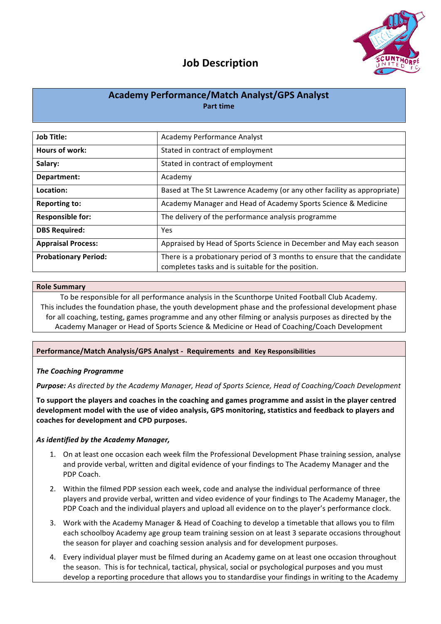

## **Job Description**

## **Academy Performance/Match Analyst/GPS Analyst Part time**

| <b>Job Title:</b>           | Academy Performance Analyst                                                                                                  |
|-----------------------------|------------------------------------------------------------------------------------------------------------------------------|
| Hours of work:              | Stated in contract of employment                                                                                             |
| Salary:                     | Stated in contract of employment                                                                                             |
| Department:                 | Academy                                                                                                                      |
| Location:                   | Based at The St Lawrence Academy (or any other facility as appropriate)                                                      |
| <b>Reporting to:</b>        | Academy Manager and Head of Academy Sports Science & Medicine                                                                |
| <b>Responsible for:</b>     | The delivery of the performance analysis programme                                                                           |
| <b>DBS Required:</b>        | Yes                                                                                                                          |
| <b>Appraisal Process:</b>   | Appraised by Head of Sports Science in December and May each season                                                          |
| <b>Probationary Period:</b> | There is a probationary period of 3 months to ensure that the candidate<br>completes tasks and is suitable for the position. |
|                             |                                                                                                                              |

### **Role Summary**

To be responsible for all performance analysis in the Scunthorpe United Football Club Academy. This includes the foundation phase, the youth development phase and the professional development phase for all coaching, testing, games programme and any other filming or analysis purposes as directed by the Academy Manager or Head of Sports Science & Medicine or Head of Coaching/Coach Development

## **Performance/Match Analysis/GPS Analyst - Requirements and Key Responsibilities**

## *The Coaching Programme*

**Purpose:** As directed by the Academy Manager, Head of Sports Science, Head of Coaching/Coach Development

To support the players and coaches in the coaching and games programme and assist in the player centred development model with the use of video analysis, GPS monitoring, statistics and feedback to players and coaches for development and CPD purposes.

## As *identified by the Academy Manager,*

- 1. On at least one occasion each week film the Professional Development Phase training session, analyse and provide verbal, written and digital evidence of your findings to The Academy Manager and the PDP Coach.
- 2. Within the filmed PDP session each week, code and analyse the individual performance of three players and provide verbal, written and video evidence of your findings to The Academy Manager, the PDP Coach and the individual players and upload all evidence on to the player's performance clock.
- 3. Work with the Academy Manager & Head of Coaching to develop a timetable that allows you to film each schoolboy Academy age group team training session on at least 3 separate occasions throughout the season for player and coaching session analysis and for development purposes.
- 4. Every individual player must be filmed during an Academy game on at least one occasion throughout the season. This is for technical, tactical, physical, social or psychological purposes and you must develop a reporting procedure that allows you to standardise your findings in writing to the Academy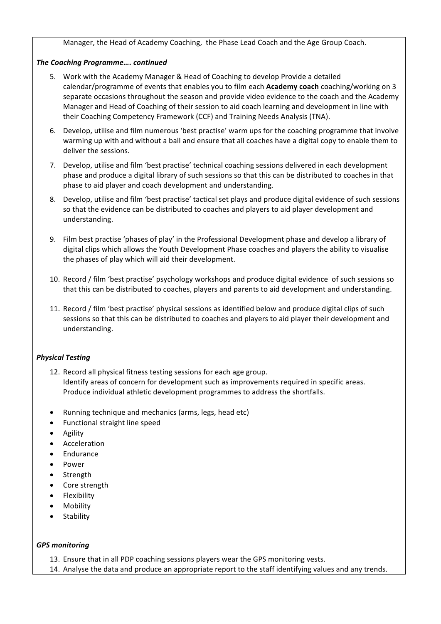Manager, the Head of Academy Coaching, the Phase Lead Coach and the Age Group Coach.

## *The Coaching Programme…. continued*

- 5. Work with the Academy Manager & Head of Coaching to develop Provide a detailed calendar/programme of events that enables you to film each **Academy coach** coaching/working on 3 separate occasions throughout the season and provide video evidence to the coach and the Academy Manager and Head of Coaching of their session to aid coach learning and development in line with their Coaching Competency Framework (CCF) and Training Needs Analysis (TNA).
- 6. Develop, utilise and film numerous 'best practise' warm ups for the coaching programme that involve warming up with and without a ball and ensure that all coaches have a digital copy to enable them to deliver the sessions.
- 7. Develop, utilise and film 'best practise' technical coaching sessions delivered in each development phase and produce a digital library of such sessions so that this can be distributed to coaches in that phase to aid player and coach development and understanding.
- 8. Develop, utilise and film 'best practise' tactical set plays and produce digital evidence of such sessions so that the evidence can be distributed to coaches and players to aid player development and understanding.
- 9. Film best practise 'phases of play' in the Professional Development phase and develop a library of digital clips which allows the Youth Development Phase coaches and players the ability to visualise the phases of play which will aid their development.
- 10. Record / film 'best practise' psychology workshops and produce digital evidence of such sessions so that this can be distributed to coaches, players and parents to aid development and understanding.
- 11. Record / film 'best practise' physical sessions as identified below and produce digital clips of such sessions so that this can be distributed to coaches and players to aid player their development and understanding.

## *Physical Testing*

- 12. Record all physical fitness testing sessions for each age group. Identify areas of concern for development such as improvements required in specific areas. Produce individual athletic development programmes to address the shortfalls.
- Running technique and mechanics (arms, legs, head etc)
- Functional straight line speed
- **Agility**
- **Acceleration**
- Endurance
- Power
- **Strength**
- Core strength
- **Flexibility**
- **Mobility**
- **Stability**

## *GPS monitoring*

13. Ensure that in all PDP coaching sessions players wear the GPS monitoring vests.

14. Analyse the data and produce an appropriate report to the staff identifying values and any trends.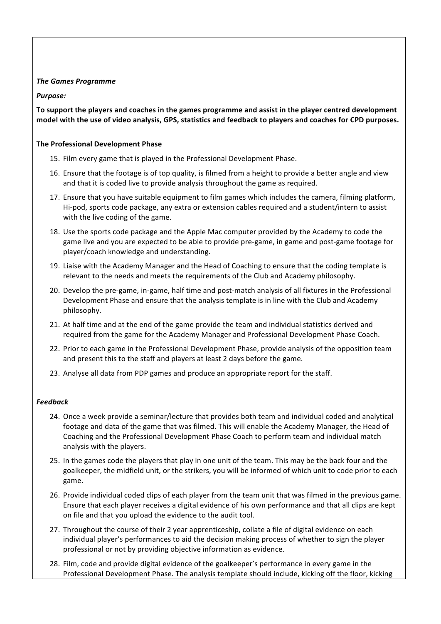## **The Games Programme**

## *Purpose:*

To support the players and coaches in the games programme and assist in the player centred development model with the use of video analysis, GPS, statistics and feedback to players and coaches for CPD purposes.

## **The Professional Development Phase**

- 15. Film every game that is played in the Professional Development Phase.
- 16. Ensure that the footage is of top quality, is filmed from a height to provide a better angle and view and that it is coded live to provide analysis throughout the game as required.
- 17. Ensure that you have suitable equipment to film games which includes the camera, filming platform, Hi-pod, sports code package, any extra or extension cables required and a student/intern to assist with the live coding of the game.
- 18. Use the sports code package and the Apple Mac computer provided by the Academy to code the game live and you are expected to be able to provide pre-game, in game and post-game footage for player/coach knowledge and understanding.
- 19. Liaise with the Academy Manager and the Head of Coaching to ensure that the coding template is relevant to the needs and meets the requirements of the Club and Academy philosophy.
- 20. Develop the pre-game, in-game, half time and post-match analysis of all fixtures in the Professional Development Phase and ensure that the analysis template is in line with the Club and Academy philosophy.
- 21. At half time and at the end of the game provide the team and individual statistics derived and required from the game for the Academy Manager and Professional Development Phase Coach.
- 22. Prior to each game in the Professional Development Phase, provide analysis of the opposition team and present this to the staff and players at least 2 days before the game.
- 23. Analyse all data from PDP games and produce an appropriate report for the staff.

## *Feedback*

- 24. Once a week provide a seminar/lecture that provides both team and individual coded and analytical footage and data of the game that was filmed. This will enable the Academy Manager, the Head of Coaching and the Professional Development Phase Coach to perform team and individual match analysis with the players.
- 25. In the games code the players that play in one unit of the team. This may be the back four and the goalkeeper, the midfield unit, or the strikers, you will be informed of which unit to code prior to each game.
- 26. Provide individual coded clips of each player from the team unit that was filmed in the previous game. Ensure that each player receives a digital evidence of his own performance and that all clips are kept on file and that you upload the evidence to the audit tool.
- 27. Throughout the course of their 2 year apprenticeship, collate a file of digital evidence on each individual player's performances to aid the decision making process of whether to sign the player professional or not by providing objective information as evidence.
- 28. Film, code and provide digital evidence of the goalkeeper's performance in every game in the Professional Development Phase. The analysis template should include, kicking off the floor, kicking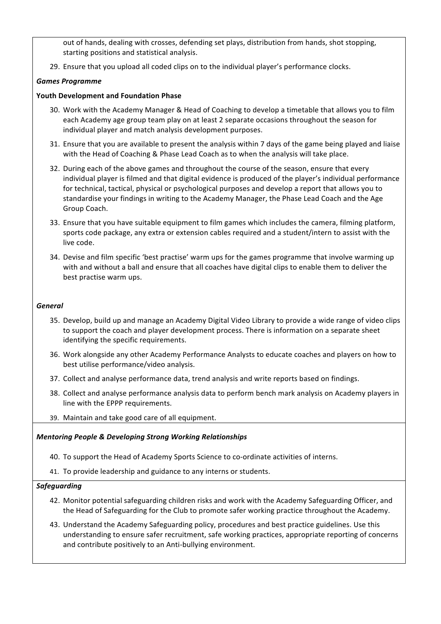out of hands, dealing with crosses, defending set plays, distribution from hands, shot stopping, starting positions and statistical analysis.

29. Ensure that you upload all coded clips on to the individual player's performance clocks.

## *Games Programme*

## **Youth Development and Foundation Phase**

- 30. Work with the Academy Manager & Head of Coaching to develop a timetable that allows you to film each Academy age group team play on at least 2 separate occasions throughout the season for individual player and match analysis development purposes.
- 31. Ensure that you are available to present the analysis within 7 days of the game being played and liaise with the Head of Coaching & Phase Lead Coach as to when the analysis will take place.
- 32. During each of the above games and throughout the course of the season, ensure that every individual player is filmed and that digital evidence is produced of the player's individual performance for technical, tactical, physical or psychological purposes and develop a report that allows you to standardise your findings in writing to the Academy Manager, the Phase Lead Coach and the Age Group Coach.
- 33. Ensure that you have suitable equipment to film games which includes the camera, filming platform, sports code package, any extra or extension cables required and a student/intern to assist with the live code.
- 34. Devise and film specific 'best practise' warm ups for the games programme that involve warming up with and without a ball and ensure that all coaches have digital clips to enable them to deliver the best practise warm ups.

## *General*

- 35. Develop, build up and manage an Academy Digital Video Library to provide a wide range of video clips to support the coach and player development process. There is information on a separate sheet identifying the specific requirements.
- 36. Work alongside any other Academy Performance Analysts to educate coaches and players on how to best utilise performance/video analysis.
- 37. Collect and analyse performance data, trend analysis and write reports based on findings.
- 38. Collect and analyse performance analysis data to perform bench mark analysis on Academy players in line with the EPPP requirements.
- 39. Maintain and take good care of all equipment.

## **Mentoring People & Developing Strong Working Relationships**

- 40. To support the Head of Academy Sports Science to co-ordinate activities of interns.
- 41. To provide leadership and guidance to any interns or students.

## *Safeguarding*

- 42. Monitor potential safeguarding children risks and work with the Academy Safeguarding Officer, and the Head of Safeguarding for the Club to promote safer working practice throughout the Academy.
- 43. Understand the Academy Safeguarding policy, procedures and best practice guidelines. Use this understanding to ensure safer recruitment, safe working practices, appropriate reporting of concerns and contribute positively to an Anti-bullying environment.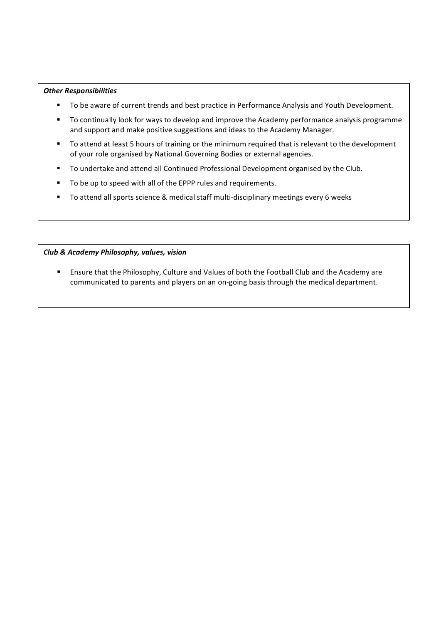## *Other Responsibilities*

- To be aware of current trends and best practice in Performance Analysis and Youth Development.
- To continually look for ways to develop and improve the Academy performance analysis programme and support and make positive suggestions and ideas to the Academy Manager.
- To attend at least 5 hours of training or the minimum required that is relevant to the development of your role organised by National Governing Bodies or external agencies.
- To undertake and attend all Continued Professional Development organised by the Club.
- To be up to speed with all of the EPPP rules and requirements.
- To attend all sports science & medical staff multi-disciplinary meetings every 6 weeks

### *Club & Academy Philosophy, values, vision*

■ Ensure that the Philosophy, Culture and Values of both the Football Club and the Academy are communicated to parents and players on an on-going basis through the medical department.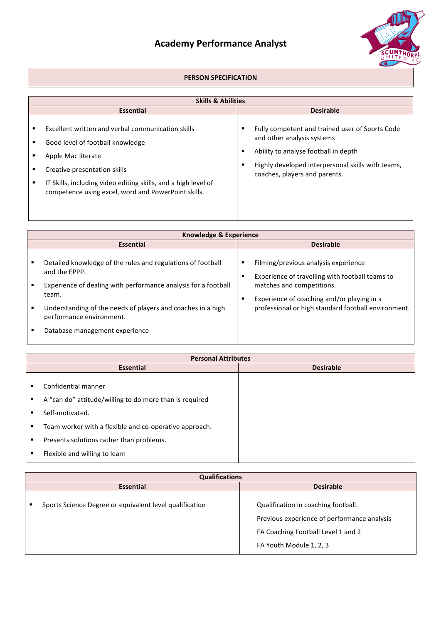# **Academy Performance Analyst**



## **PERSON SPECIFICATION**

| <b>Skills &amp; Abilities</b>                                                                                                                                                                                                                                        |             |                                                                                                                                                                                                             |  |  |
|----------------------------------------------------------------------------------------------------------------------------------------------------------------------------------------------------------------------------------------------------------------------|-------------|-------------------------------------------------------------------------------------------------------------------------------------------------------------------------------------------------------------|--|--|
| <b>Essential</b>                                                                                                                                                                                                                                                     |             | <b>Desirable</b>                                                                                                                                                                                            |  |  |
| Excellent written and verbal communication skills<br>Good level of football knowledge<br>Apple Mac literate<br>Creative presentation skills<br>IT Skills, including video editing skills, and a high level of<br>competence using excel, word and PowerPoint skills. | п<br>в<br>в | Fully competent and trained user of Sports Code<br>and other analysis systems<br>Ability to analyse football in depth<br>Highly developed interpersonal skills with teams,<br>coaches, players and parents. |  |  |

| Knowledge & Experience                                                                  |        |                                                                                         |  |
|-----------------------------------------------------------------------------------------|--------|-----------------------------------------------------------------------------------------|--|
| <b>Essential</b>                                                                        |        | <b>Desirable</b>                                                                        |  |
| Detailed knowledge of the rules and regulations of football<br>and the EPPP.            | в<br>п | Filming/previous analysis experience<br>Experience of travelling with football teams to |  |
| Experience of dealing with performance analysis for a football<br>team.                 | п      | matches and competitions.<br>Experience of coaching and/or playing in a                 |  |
| Understanding of the needs of players and coaches in a high<br>performance environment. |        | professional or high standard football environment.                                     |  |
| Database management experience                                                          |        |                                                                                         |  |

|   | <b>Personal Attributes</b>                              |                  |  |
|---|---------------------------------------------------------|------------------|--|
|   | <b>Essential</b>                                        | <b>Desirable</b> |  |
|   | Confidential manner                                     |                  |  |
| ٠ | A "can do" attitude/willing to do more than is required |                  |  |
| ٠ | Self-motivated.                                         |                  |  |
| ٠ | Team worker with a flexible and co-operative approach.  |                  |  |
| ٠ | Presents solutions rather than problems.                |                  |  |
| ٠ | Flexible and willing to learn                           |                  |  |

|                  | <b>Qualifications</b>                                   |                                                                                                                                                     |  |  |
|------------------|---------------------------------------------------------|-----------------------------------------------------------------------------------------------------------------------------------------------------|--|--|
| <b>Essential</b> |                                                         | <b>Desirable</b>                                                                                                                                    |  |  |
|                  | Sports Science Degree or equivalent level qualification | Qualification in coaching football.<br>Previous experience of performance analysis<br>FA Coaching Football Level 1 and 2<br>FA Youth Module 1, 2, 3 |  |  |